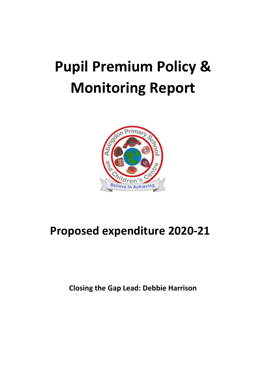## **Pupil Premium Policy & Monitoring Report**



## **Proposed expenditure 2020-21**

**Closing the Gap Lead: Debbie Harrison**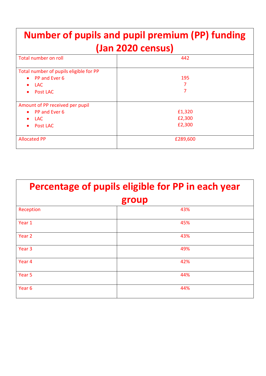| <b>Number of pupils and pupil premium (PP) funding</b><br>(Jan 2020 census) |          |  |  |  |
|-----------------------------------------------------------------------------|----------|--|--|--|
| Total number on roll                                                        | 442      |  |  |  |
| Total number of pupils eligible for PP                                      |          |  |  |  |
| PP and Ever 6<br>$\bullet$                                                  | 195      |  |  |  |
| <b>LAC</b><br>$\bullet$                                                     |          |  |  |  |
| Post LAC<br>$\bullet$                                                       |          |  |  |  |
| Amount of PP received per pupil                                             |          |  |  |  |
| • PP and Ever 6                                                             | £1,320   |  |  |  |
| LAC.<br>$\bullet$                                                           | £2,300   |  |  |  |
| Post LAC                                                                    | £2,300   |  |  |  |
| <b>Allocated PP</b>                                                         | £289,600 |  |  |  |

| Percentage of pupils eligible for PP in each year |     |  |  |
|---------------------------------------------------|-----|--|--|
| group                                             |     |  |  |
| Reception                                         | 43% |  |  |
| Year 1                                            | 45% |  |  |
| Year <sub>2</sub>                                 | 43% |  |  |
| Year <sub>3</sub>                                 | 49% |  |  |
| Year 4                                            | 42% |  |  |
| Year <sub>5</sub>                                 | 44% |  |  |
| Year <sub>6</sub>                                 | 44% |  |  |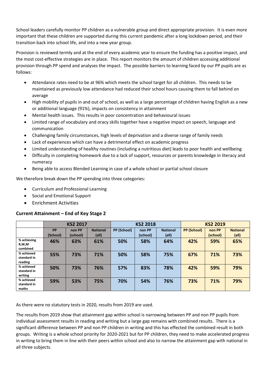School leaders carefully monitor PP children as a vulnerable group and direct appropriate provision. It is even more important that these children are supported during this current pandemic after a long lockdown period, and their transition back into school life, and into a new year group.

Provision is reviewed termly and at the end of every academic year to ensure the funding has a positive impact, and the most cost-effective strategies are in place. This report monitors the amount of children accessing additional provision through PP spend and analyses the impact. The possible barriers to learning faced by our PP pupils are as follows:

- Attendance rates need to be at 96% which meets the school target for all children. This needs to be maintained as previously low attendance had reduced their school hours causing them to fall behind on average
- High mobility of pupils in and out of school, as well as a large percentage of children having English as a new or additional language (91%), impacts on consistency in attainment
- Mental health issues. This results in poor concentration and behavioural issues
- Limited range of vocabulary and oracy skills together have a negative impact on speech, language and communication
- Challenging family circumstances, high levels of deprivation and a diverse range of family needs
- Lack of experiences which can have a detrimental effect on academic progress
- Limited understanding of healthy routines (including a nutritious diet) leads to poor health and wellbeing
- Difficulty in completing homework due to a lack of support, resources or parents knowledge in literacy and numeracy
- Being able to access Blended Learning in case of a whole school or partial school closure

We therefore break down the PP spending into three categories:

- Curriculum and Professional Learning
- Social and Emotional Support
- Enrichment Activities

## **Current Attainment – End of Key Stage 2**

|                                      |                       | <b>KS2 2017</b>    |                          | <b>KS2 2018</b> |                    | <b>KS2 2019</b>          |                    |                    |                          |
|--------------------------------------|-----------------------|--------------------|--------------------------|-----------------|--------------------|--------------------------|--------------------|--------------------|--------------------------|
|                                      | <b>PP</b><br>(School) | non PP<br>(school) | <b>National</b><br>(all) | PP (School)     | non PP<br>(school) | <b>National</b><br>(all) | <b>PP (School)</b> | non PP<br>(school) | <b>National</b><br>(all) |
| % achieving<br>R,W,M<br>combined     | 46%                   | 63%                | 61%                      | 50%             | 58%                | 64%                      | 42%                | 59%                | 65%                      |
| % achieved<br>standard in<br>reading | 55%                   | 73%                | 71%                      | 50%             | 58%                | 75%                      | 67%                | 71%                | 73%                      |
| % achieved<br>standard in<br>writing | 50%                   | 73%                | 76%                      | 57%             | 83%                | 78%                      | 42%                | 59%                | 79%                      |
| % achieved<br>standard in<br>maths   | 59%                   | 53%                | 75%                      | 70%             | 54%                | 76%                      | 73%                | 71%                | 79%                      |

As there were no statutory tests in 2020, results from 2019 are used.

The results from 2019 show that attainment gap within school is narrowing between PP and non PP pupils from individual assessment results in reading and writing but a large gap remains with combined results. There is a significant difference between PP and non PP children in writing and this has effected the combined result in both groups. Writing is a whole school priority for 2020-2021 but for PP children, they need to make accelerated progress in writing to bring them in line with their peers within school and also to narrow the attainment gap with national in all three subjects.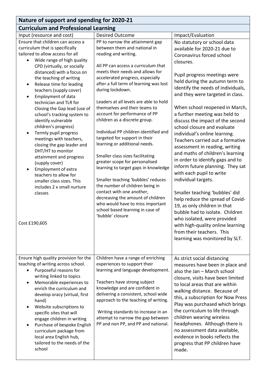| Nature of support and spending for 2020-21                                                                                                                                                                                                                                                                                                                                                                                                                                                                                                                                                                                                                                                                                                                                                                |                                                                                                                                                                                                                                                                                                                                                                                                                                                                                                                                                                                                                                                                                                                                                                                                                                                                                   |                                                                                                                                                                                                                                                                                                                                                                                                                                                                                                                                                                                                                                                                                                                                                                                                                                                                                                                                           |  |  |  |
|-----------------------------------------------------------------------------------------------------------------------------------------------------------------------------------------------------------------------------------------------------------------------------------------------------------------------------------------------------------------------------------------------------------------------------------------------------------------------------------------------------------------------------------------------------------------------------------------------------------------------------------------------------------------------------------------------------------------------------------------------------------------------------------------------------------|-----------------------------------------------------------------------------------------------------------------------------------------------------------------------------------------------------------------------------------------------------------------------------------------------------------------------------------------------------------------------------------------------------------------------------------------------------------------------------------------------------------------------------------------------------------------------------------------------------------------------------------------------------------------------------------------------------------------------------------------------------------------------------------------------------------------------------------------------------------------------------------|-------------------------------------------------------------------------------------------------------------------------------------------------------------------------------------------------------------------------------------------------------------------------------------------------------------------------------------------------------------------------------------------------------------------------------------------------------------------------------------------------------------------------------------------------------------------------------------------------------------------------------------------------------------------------------------------------------------------------------------------------------------------------------------------------------------------------------------------------------------------------------------------------------------------------------------------|--|--|--|
| <b>Curriculum and Professional Learning</b>                                                                                                                                                                                                                                                                                                                                                                                                                                                                                                                                                                                                                                                                                                                                                               |                                                                                                                                                                                                                                                                                                                                                                                                                                                                                                                                                                                                                                                                                                                                                                                                                                                                                   |                                                                                                                                                                                                                                                                                                                                                                                                                                                                                                                                                                                                                                                                                                                                                                                                                                                                                                                                           |  |  |  |
| Input (resource and cost)                                                                                                                                                                                                                                                                                                                                                                                                                                                                                                                                                                                                                                                                                                                                                                                 | <b>Desired Outcome</b>                                                                                                                                                                                                                                                                                                                                                                                                                                                                                                                                                                                                                                                                                                                                                                                                                                                            | Impact/Evaluation                                                                                                                                                                                                                                                                                                                                                                                                                                                                                                                                                                                                                                                                                                                                                                                                                                                                                                                         |  |  |  |
| Ensure that children can access a<br>curriculum that is specifically<br>tailored to allow access for all<br>Wide range of high quality<br>$\bullet$<br>CPD (virtually, or socially<br>distanced) with a focus on<br>the teaching of writing<br>Release time for leading<br>$\bullet$<br>teachers (supply cover)<br>Employment of data<br>$\bullet$<br>technician and TLR for<br>Closing the Gap lead (use of<br>school's tracking system to<br>identify vulnerable<br>children's progress)<br>Termly pupil progress<br>$\bullet$<br>meetings with teachers,<br>closing the gap leader and<br>DHT/HT to monitor<br>attainment and progress<br>(supply cover)<br><b>Employment of extra</b><br>teachers to allow for<br>smaller class sizes. This<br>includes 2 x small nurture<br>classes<br>Cost £190,605 | PP to narrow the attainment gap<br>between them and national in<br>reading and writing.<br>All PP can access a curriculum that<br>meets their needs and allows for<br>accelerated progress, especially<br>after a full term of learning was lost<br>during lockdown.<br>Leaders at all levels are able to hold<br>themselves and their teams to<br>account for performance of PP<br>children as a discrete group.<br>Individual PP children identified and<br>targeted for support in their<br>learning or additional needs.<br>Smaller class sizes facilitating<br>greater scope for personalised<br>learning to target gaps in knowledge<br>Smaller teaching 'bubbles' reduces<br>the number of children being in<br>contact with one another,<br>decreasing the amount of children<br>who would have to miss important<br>school based learning in case of<br>'bubble' closure | No statutory or school data<br>available for 2020-21 due to<br>Coronavirus forced school<br>closures.<br>Pupil progress meetings were<br>held during the autumn term to<br>identify the needs of individuals,<br>and they were targeted in class.<br>When school reopened in March,<br>a further meeting was held to<br>discuss the impact of the second<br>school closure and evaluate<br>individual's online learning.<br>Teachers carried out a formative<br>assessment in reading, writing<br>and maths of children's learning<br>in order to identify gaps and to<br>inform future planning. They sat<br>with each pupil to write<br>individual targets.<br>Smaller teaching 'bubbles' did<br>help reduce the spread of Covid-<br>19, as only children in that<br>bubble had to isolate. Children<br>who isolated, were provided<br>with high-quality online learning<br>from their teachers. This<br>learning was monitored by SLT. |  |  |  |
| Ensure high quality provision for the<br>teaching of writing across school.<br>Purposeful reasons for<br>writing linked to topics<br>Memorable experiences to<br>$\bullet$<br>enrich the curriculum and<br>develop oracy (virtual, first<br>hand)<br>Website subscriptions to<br>$\bullet$<br>specific sites that will<br>engage children in writing<br>Purchase of bespoke English<br>$\bullet$<br>curriculum package from<br>local area English hub,<br>tailored to the needs of the<br>school                                                                                                                                                                                                                                                                                                          | Children have a range of enriching<br>experiences to support their<br>learning and language development.<br>Teachers have strong subject<br>knowledge and are confident in<br>delivering a consistent, school wide<br>approach to the teaching of writing.<br>Writing standards to increase in an<br>attempt to narrow the gap between<br>PP and non PP, and PP and national.                                                                                                                                                                                                                                                                                                                                                                                                                                                                                                     | As strict social distancing<br>measures have been in place and<br>also the Jan - March school<br>closure, visits have been limited<br>to local areas that are within<br>walking distance. Because of<br>this, a subscription for Now Press<br>Play was purchased which brings<br>the curriculum to life through<br>children wearing wireless<br>headphones. Although there is<br>no assessment data available,<br>evidence in books reflects the<br>progress that PP children have<br>made.                                                                                                                                                                                                                                                                                                                                                                                                                                               |  |  |  |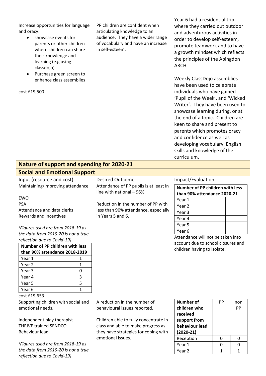| Increase opportunities for language<br>and oracy:<br>showcase events for<br>parents or other children<br>where children can share<br>their knowledge and<br>learning (e.g using<br>classdojo)<br>Purchase green screen to<br>enhance class assemblies<br>cost £19,500 | PP children are confident when<br>articulating knowledge to an<br>audience. They have a wider range<br>of vocabulary and have an increase<br>in self-esteem. | Year 6 had a residential trip<br>where they carried out outdoor<br>and adventurous activities in<br>order to develop self-esteem,<br>promote teamwork and to have<br>a growth mindset which reflects<br>the principles of the Abingdon<br>ARCH.<br>Weekly ClassDojo assemblies<br>have been used to celebrate<br>individuals who have gained<br>'Pupil of the Week', and 'Wicked<br>Writer'. They have been used to<br>showcase learning during, or at<br>the end of a topic. Children are<br>keen to share and present to<br>parents which promotes oracy<br>and confidence as well as<br>developing vocabulary, English<br>skills and knowledge of the |
|-----------------------------------------------------------------------------------------------------------------------------------------------------------------------------------------------------------------------------------------------------------------------|--------------------------------------------------------------------------------------------------------------------------------------------------------------|----------------------------------------------------------------------------------------------------------------------------------------------------------------------------------------------------------------------------------------------------------------------------------------------------------------------------------------------------------------------------------------------------------------------------------------------------------------------------------------------------------------------------------------------------------------------------------------------------------------------------------------------------------|
|                                                                                                                                                                                                                                                                       |                                                                                                                                                              | curriculum.                                                                                                                                                                                                                                                                                                                                                                                                                                                                                                                                                                                                                                              |
| <b>Nature of support and spending for 2020-21</b>                                                                                                                                                                                                                     |                                                                                                                                                              |                                                                                                                                                                                                                                                                                                                                                                                                                                                                                                                                                                                                                                                          |
| <b>Social and Emotional Support</b>                                                                                                                                                                                                                                   |                                                                                                                                                              |                                                                                                                                                                                                                                                                                                                                                                                                                                                                                                                                                                                                                                                          |
| Input (resource and cost)                                                                                                                                                                                                                                             | <b>Desired Outcome</b>                                                                                                                                       | Impact/Evaluation                                                                                                                                                                                                                                                                                                                                                                                                                                                                                                                                                                                                                                        |
| Maintaining/imnroving attondance                                                                                                                                                                                                                                      | Attondance of DD nunils is at loast in                                                                                                                       |                                                                                                                                                                                                                                                                                                                                                                                                                                                                                                                                                                                                                                                          |

| Input (resource and cost)           |             | <b>Desired Outcome</b>                 | Impact/Evaluation                  |    |     |
|-------------------------------------|-------------|----------------------------------------|------------------------------------|----|-----|
| Maintaining/improving attendance    |             | Attendance of PP pupils is at least in | Number of PP children with less    |    |     |
|                                     |             | line with national - 96%               | than 90% attendance 2020-21        |    |     |
| <b>EWO</b>                          |             |                                        | Year 1                             |    |     |
| <b>PSA</b>                          |             | Reduction in the number of PP with     | Year 2                             |    |     |
| Attendance and data clerks          |             | less than 90% attendance, especially   | Year 3                             |    |     |
| Rewards and incentives              |             | in Years 5 and 6.                      | Year 4                             |    |     |
|                                     |             |                                        | Year 5                             |    |     |
| (Figures used are from 2018-19 as   |             |                                        | Year 6                             |    |     |
| the data from 2019-20 is not a true |             |                                        | Attendance will not be taken into  |    |     |
| reflection due to Covid-19)         |             |                                        | account due to school closures and |    |     |
| Number of PP children with less     |             |                                        | children having to isolate.        |    |     |
| than 90% attendance 2018-2019       |             |                                        |                                    |    |     |
| Year 1                              | 1           |                                        |                                    |    |     |
| Year 2                              | 1           |                                        |                                    |    |     |
| Year 3                              | $\mathbf 0$ |                                        |                                    |    |     |
| Year 4                              | 3           |                                        |                                    |    |     |
| Year 5                              | 5           |                                        |                                    |    |     |
| Year <sub>6</sub>                   | 1           |                                        |                                    |    |     |
| cost £19,653                        |             |                                        |                                    |    |     |
| Supporting children with social and |             | A reduction in the number of           | <b>Number of</b>                   | PP | non |
| emotional needs.                    |             | behavioural issues reported.           | children who                       |    | PP  |
|                                     |             |                                        | received                           |    |     |
| Independent play therapist          |             | Children able to fully concentrate in  | support from                       |    |     |
| <b>THRIVE trained SENDCO</b>        |             | class and able to make progress as     | behaviour lead                     |    |     |
| <b>Behaviour lead</b>               |             | they have strategies for coping with   | $(2020-21)$                        |    |     |
|                                     |             | emotional issues.                      | Reception                          | 0  | 0   |
| (Figures used are from 2018-19 as   |             |                                        | Year 1                             | 0  | 0   |
| the data from 2019-20 is not a true |             |                                        | Year <sub>2</sub>                  | 1  | 1   |
| reflection due to Covid-19)         |             |                                        |                                    |    |     |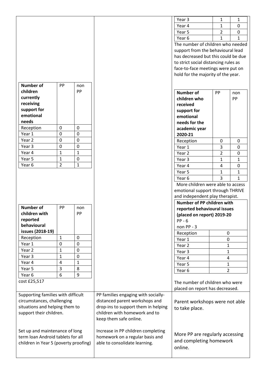|                                                                  |                                |                           |                                     | Year 3                                 | 1              | 1            |
|------------------------------------------------------------------|--------------------------------|---------------------------|-------------------------------------|----------------------------------------|----------------|--------------|
|                                                                  |                                |                           |                                     | Year 4                                 | 1              | $\mathbf{0}$ |
|                                                                  |                                |                           |                                     | Year 5                                 | $\overline{2}$ | $\mathbf 0$  |
|                                                                  |                                |                           |                                     | Year 6                                 | $\mathbf{1}$   | 1            |
|                                                                  |                                |                           |                                     | The number of children who needed      |                |              |
|                                                                  |                                |                           |                                     | support from the behavioural lead      |                |              |
|                                                                  |                                |                           |                                     | has decreased but this could be due    |                |              |
|                                                                  |                                |                           |                                     | to strict social distancing rules as   |                |              |
|                                                                  |                                |                           |                                     | face-to-face meetings were put on      |                |              |
|                                                                  |                                |                           |                                     | hold for the majority of the year.     |                |              |
|                                                                  |                                |                           |                                     |                                        |                |              |
| <b>Number of</b>                                                 | PP                             | non                       |                                     |                                        |                |              |
| children                                                         |                                | PP                        |                                     | <b>Number of</b>                       | PP             | non          |
| currently                                                        |                                |                           |                                     | children who                           |                | PP           |
| receiving                                                        |                                |                           |                                     | received                               |                |              |
| support for<br>emotional                                         |                                |                           |                                     | support for                            |                |              |
| needs                                                            |                                |                           |                                     | emotional                              |                |              |
|                                                                  | 0                              | $\mathbf 0$               |                                     | needs for the                          |                |              |
| Reception<br>Year 1                                              | $\mathbf 0$                    | $\mathbf 0$               |                                     | academic year                          |                |              |
| Year 2                                                           | 0                              | $\mathbf 0$               |                                     | 2020-21                                |                |              |
| Year 3                                                           | 0                              | $\mathbf 0$               |                                     | Reception                              | 0              | $\mathbf{0}$ |
| Year 4                                                           | $\mathbf{1}$                   | $\mathbf{1}$              |                                     | Year 1                                 | 3              | 0            |
|                                                                  |                                |                           |                                     | Year 2                                 | 2              | 0            |
| Year 5                                                           | $\mathbf{1}$<br>$\overline{2}$ | $\pmb{0}$<br>$\mathbf{1}$ |                                     | Year 3                                 | 1              | 1            |
| Year 6                                                           |                                |                           |                                     | Year 4                                 | 4              | 0            |
|                                                                  |                                |                           |                                     | Year 5                                 | 1              | 1            |
|                                                                  |                                |                           |                                     | Year <sub>6</sub>                      | 3              | 1            |
|                                                                  |                                |                           |                                     | More children were able to access      |                |              |
|                                                                  |                                |                           |                                     | emotional support through THRIVE       |                |              |
|                                                                  |                                |                           |                                     | and independent play therapist.        |                |              |
| <b>Number of</b>                                                 | PP                             | non                       |                                     | Number of PP children with             |                |              |
| children with                                                    |                                | PP                        |                                     | reported behavioural issues            |                |              |
| reported                                                         |                                |                           |                                     | (placed on report) 2019-20<br>$PP - 6$ |                |              |
| behavioural                                                      |                                |                           |                                     | non PP - 3                             |                |              |
| issues (2018-19)                                                 |                                |                           |                                     | Reception                              | 0              |              |
| Reception                                                        | $\mathbf{1}$                   | 0                         |                                     | Year 1                                 | 0              |              |
| Year 1                                                           | $\pmb{0}$                      | $\mathbf 0$               |                                     | Year 2                                 | 1              |              |
| Year 2                                                           | $\mathbf{1}$                   | $\mathbf 0$               |                                     | Year 3                                 | 1              |              |
| Year 3                                                           | 1                              | $\mathbf 0$               |                                     | Year 4                                 | $\overline{a}$ |              |
| Year 4                                                           | 4                              | 1                         |                                     | Year 5                                 | $\mathbf{1}$   |              |
| Year 5                                                           | 3                              | 8                         |                                     | Year 6                                 | $\overline{2}$ |              |
| Year 6                                                           | 6                              | 9                         |                                     |                                        |                |              |
| cost £25,517                                                     |                                |                           |                                     | The number of children who were        |                |              |
|                                                                  |                                |                           |                                     | placed on report has decreased.        |                |              |
|                                                                  |                                |                           | PP families engaging with socially- |                                        |                |              |
| Supporting families with difficult<br>circumstances, challenging |                                |                           | distanced parent workshops and      |                                        |                |              |
| situations and helping them to                                   |                                |                           | drop-ins to support them in helping | Parent workshops were not able         |                |              |
| support their children.                                          |                                |                           | children with homework and to       | to take place.                         |                |              |
|                                                                  |                                |                           | keep them safe online.              |                                        |                |              |
|                                                                  |                                |                           |                                     |                                        |                |              |
| Set up and maintenance of long                                   |                                |                           | Increase in PP children completing  |                                        |                |              |
| term loan Android tablets for all                                |                                |                           | homework on a regular basis and     | More PP are regularly accessing        |                |              |
| children in Year 5 (poverty proofing)                            |                                |                           | able to consolidate learning.       | and completing homework                |                |              |
|                                                                  |                                |                           |                                     | online.                                |                |              |
|                                                                  |                                |                           |                                     |                                        |                |              |